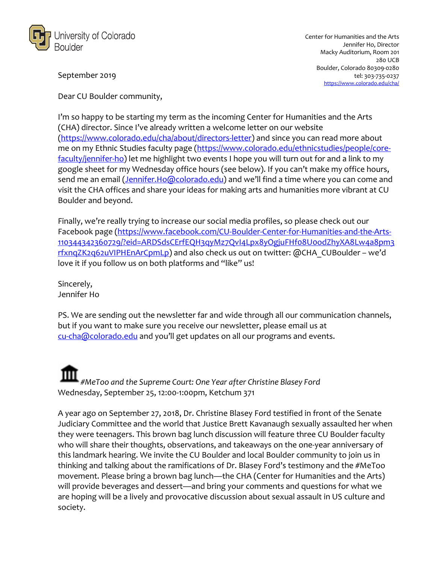

September 2019

Dear CU Boulder community,

I'm so happy to be starting my term as the incoming Center for Humanities and the Arts (CHA) director. Since I've already written a welcome letter on our website (https://www.colorado.edu/cha/about/directors-letter) and since you can read more about me on my Ethnic Studies faculty page (https://www.colorado.edu/ethnicstudies/people/corefaculty/jennifer-ho) let me highlight two events I hope you will turn out for and a link to my google sheet for my Wednesday office hours (see below). If you can't make my office hours, send me an email (Jennifer.Ho@colorado.edu) and we'll find a time where you can come and visit the CHA offices and share your ideas for making arts and humanities more vibrant at CU Boulder and beyond.

Finally, we're really trying to increase our social media profiles, so please check out our Facebook page (https://www.facebook.com/CU-Boulder-Center-for-Humanities-and-the-Arts-110344342360729/?eid=ARDSdsCErfEQH3qyMz7QvI4Lpx8yOgjuFHf08U0odZhyXA8Lw4a8pm3 rfxnqZK2q62uVIPHEnArCpmLp) and also check us out on twitter: @CHA\_CUBoulder – we'd love it if you follow us on both platforms and "like" us!

Sincerely, Jennifer Ho

PS. We are sending out the newsletter far and wide through all our communication channels, but if you want to make sure you receive our newsletter, please email us at cu-cha@colorado.edu and you'll get updates on all our programs and events.

*#MeToo and the Supreme Court: One Year after Christine Blasey Ford* Wednesday, September 25, 12:00-1:00pm, Ketchum 371

A year ago on September 27, 2018, Dr. Christine Blasey Ford testified in front of the Senate Judiciary Committee and the world that Justice Brett Kavanaugh sexually assaulted her when they were teenagers. This brown bag lunch discussion will feature three CU Boulder faculty who will share their thoughts, observations, and takeaways on the one-year anniversary of this landmark hearing. We invite the CU Boulder and local Boulder community to join us in thinking and talking about the ramifications of Dr. Blasey Ford's testimony and the #MeToo movement. Please bring a brown bag lunch—the CHA (Center for Humanities and the Arts) will provide beverages and dessert—and bring your comments and questions for what we are hoping will be a lively and provocative discussion about sexual assault in US culture and society.